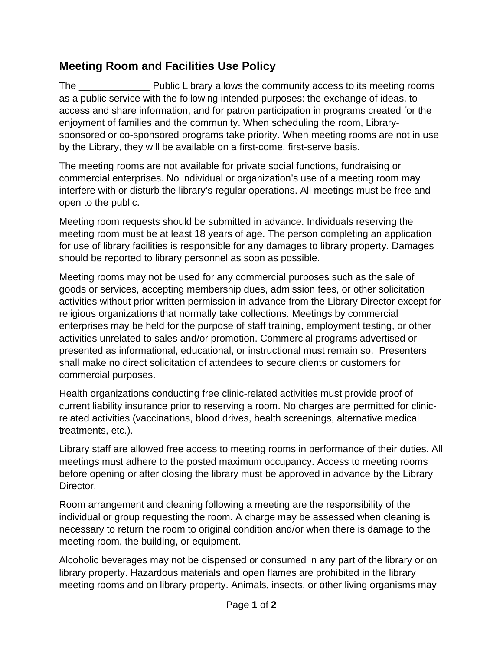## **Meeting Room and Facilities Use Policy**

The **Example 20** Public Library allows the community access to its meeting rooms as a public service with the following intended purposes: the exchange of ideas, to access and share information, and for patron participation in programs created for the enjoyment of families and the community. When scheduling the room, Librarysponsored or co-sponsored programs take priority. When meeting rooms are not in use by the Library, they will be available on a first-come, first-serve basis.

The meeting rooms are not available for private social functions, fundraising or commercial enterprises. No individual or organization's use of a meeting room may interfere with or disturb the library's regular operations. All meetings must be free and open to the public.

Meeting room requests should be submitted in advance. Individuals reserving the meeting room must be at least 18 years of age. The person completing an application for use of library facilities is responsible for any damages to library property. Damages should be reported to library personnel as soon as possible.

Meeting rooms may not be used for any commercial purposes such as the sale of goods or services, accepting membership dues, admission fees, or other solicitation activities without prior written permission in advance from the Library Director except for religious organizations that normally take collections. Meetings by commercial enterprises may be held for the purpose of staff training, employment testing, or other activities unrelated to sales and/or promotion. Commercial programs advertised or presented as informational, educational, or instructional must remain so. Presenters shall make no direct solicitation of attendees to secure clients or customers for commercial purposes.

Health organizations conducting free clinic-related activities must provide proof of current liability insurance prior to reserving a room. No charges are permitted for clinicrelated activities (vaccinations, blood drives, health screenings, alternative medical treatments, etc.).

Library staff are allowed free access to meeting rooms in performance of their duties. All meetings must adhere to the posted maximum occupancy. Access to meeting rooms before opening or after closing the library must be approved in advance by the Library Director.

Room arrangement and cleaning following a meeting are the responsibility of the individual or group requesting the room. A charge may be assessed when cleaning is necessary to return the room to original condition and/or when there is damage to the meeting room, the building, or equipment.

Alcoholic beverages may not be dispensed or consumed in any part of the library or on library property. Hazardous materials and open flames are prohibited in the library meeting rooms and on library property. Animals, insects, or other living organisms may